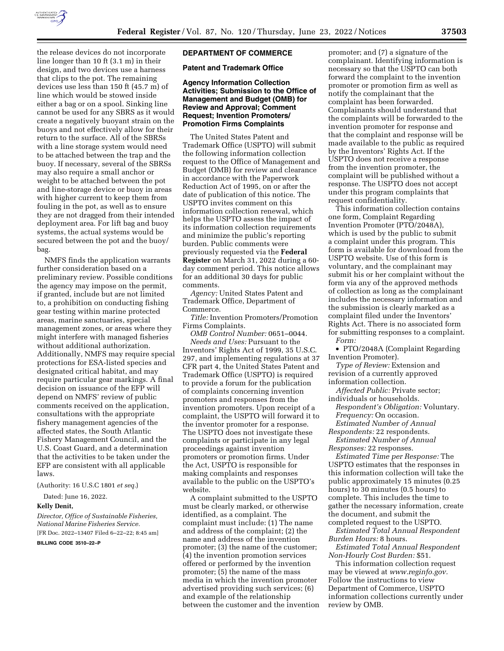

the release devices do not incorporate line longer than 10 ft (3.1 m) in their design, and two devices use a harness that clips to the pot. The remaining devices use less than 150 ft (45.7 m) of line which would be stowed inside either a bag or on a spool. Sinking line cannot be used for any SBRS as it would create a negatively buoyant strain on the buoys and not effectively allow for their return to the surface. All of the SBRSs with a line storage system would need to be attached between the trap and the buoy. If necessary, several of the SBRSs may also require a small anchor or weight to be attached between the pot and line-storage device or buoy in areas with higher current to keep them from fouling in the pot, as well as to ensure they are not dragged from their intended deployment area. For lift bag and buoy systems, the actual systems would be secured between the pot and the buoy/ bag.

NMFS finds the application warrants further consideration based on a preliminary review. Possible conditions the agency may impose on the permit, if granted, include but are not limited to, a prohibition on conducting fishing gear testing within marine protected areas, marine sanctuaries, special management zones, or areas where they might interfere with managed fisheries without additional authorization. Additionally, NMFS may require special protections for ESA-listed species and designated critical habitat, and may require particular gear markings. A final decision on issuance of the EFP will depend on NMFS' review of public comments received on the application, consultations with the appropriate fishery management agencies of the affected states, the South Atlantic Fishery Management Council, and the U.S. Coast Guard, and a determination that the activities to be taken under the EFP are consistent with all applicable laws.

(Authority: 16 U.S.C 1801 *et seq.*)

Dated: June 16, 2022.

#### **Kelly Denit,**

*Director, Office of Sustainable Fisheries, National Marine Fisheries Service.* 

[FR Doc. 2022–13407 Filed 6–22–22; 8:45 am]

**BILLING CODE 3510–22–P** 

## **DEPARTMENT OF COMMERCE**

**Patent and Trademark Office** 

# **Agency Information Collection Activities; Submission to the Office of Management and Budget (OMB) for Review and Approval; Comment Request; Invention Promoters/ Promotion Firms Complaints**

The United States Patent and Trademark Office (USPTO) will submit the following information collection request to the Office of Management and Budget (OMB) for review and clearance in accordance with the Paperwork Reduction Act of 1995, on or after the date of publication of this notice. The USPTO invites comment on this information collection renewal, which helps the USPTO assess the impact of its information collection requirements and minimize the public's reporting burden. Public comments were previously requested via the **Federal Register** on March 31, 2022 during a 60 day comment period. This notice allows for an additional 30 days for public comments.

*Agency:* United States Patent and Trademark Office, Department of Commerce.

*Title:* Invention Promoters/Promotion Firms Complaints.

*OMB Control Number:* 0651–0044. *Needs and Uses:* Pursuant to the Inventors' Rights Act of 1999, 35 U.S.C. 297, and implementing regulations at 37 CFR part 4, the United States Patent and Trademark Office (USPTO) is required to provide a forum for the publication of complaints concerning invention promoters and responses from the invention promoters. Upon receipt of a complaint, the USPTO will forward it to the inventor promoter for a response. The USPTO does not investigate these complaints or participate in any legal proceedings against invention promoters or promotion firms. Under the Act, USPTO is responsible for making complaints and responses available to the public on the USPTO's website.

A complaint submitted to the USPTO must be clearly marked, or otherwise identified, as a complaint. The complaint must include: (1) The name and address of the complaint; (2) the name and address of the invention promoter; (3) the name of the customer; (4) the invention promotion services offered or performed by the invention promoter; (5) the name of the mass media in which the invention promoter advertised providing such services; (6) and example of the relationship between the customer and the invention

promoter; and (7) a signature of the complainant. Identifying information is necessary so that the USPTO can both forward the complaint to the invention promoter or promotion firm as well as notify the complainant that the complaint has been forwarded. Complainants should understand that the complaints will be forwarded to the invention promoter for response and that the complaint and response will be made available to the public as required by the Inventors' Rights Act. If the USPTO does not receive a response from the invention promoter, the complaint will be published without a response. The USPTO does not accept under this program complaints that request confidentiality.

This information collection contains one form, Complaint Regarding Invention Promoter (PTO/2048A), which is used by the public to submit a complaint under this program. This form is available for download from the USPTO website. Use of this form is voluntary, and the complainant may submit his or her complaint without the form via any of the approved methods of collection as long as the complainant includes the necessary information and the submission is clearly marked as a complaint filed under the Inventors' Rights Act. There is no associated form for submitting responses to a complaint. *Form:* 

• PTO/2048A (Complaint Regarding Invention Promoter).

*Type of Review:* Extension and revision of a currently approved information collection.

*Affected Public:* Private sector;

individuals or households. *Respondent's Obligation:* Voluntary.

*Frequency:* On occasion. *Estimated Number of Annual* 

*Respondents:* 22 respondents. *Estimated Number of Annual* 

*Responses:* 22 responses.

*Estimated Time per Response:* The USPTO estimates that the responses in this information collection will take the public approximately 15 minutes (0.25 hours) to 30 minutes (0.5 hours) to complete. This includes the time to gather the necessary information, create the document, and submit the completed request to the USPTO.

*Estimated Total Annual Respondent Burden Hours:* 8 hours.

*Estimated Total Annual Respondent Non-Hourly Cost Burden:* \$51.

This information collection request may be viewed at *[www.reginfo.gov.](http://www.reginfo.gov)*  Follow the instructions to view Department of Commerce, USPTO information collections currently under review by OMB.